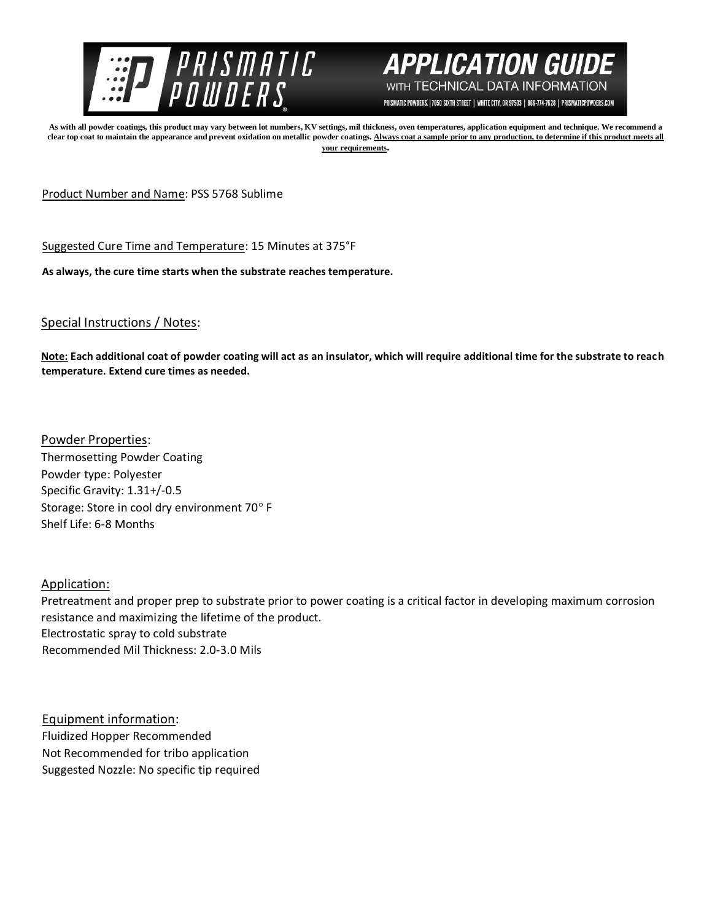



PRISMATIC POWDERS. | 7050 SIXTH STREET | WHITE CITY, OR 97503 | 866-774-7628 | PRISMATICPOWDERS.COM

**As with all powder coatings, this product may vary between lot numbers, KV settings, mil thickness, oven temperatures, application equipment and technique. We recommend a**  clear top coat to maintain the appearance and prevent oxidation on metallic powder coatings. Always coat a sample prior to any production, to determine if this product meets all **your requirements.** 

Product Number and Name: PSS 5768 Sublime

Suggested Cure Time and Temperature: 15 Minutes at 375°F

**As always, the cure time starts when the substrate reaches temperature.**

## Special Instructions / Notes:

**Note: Each additional coat of powder coating will act as an insulator, which will require additional time for the substrate to reach temperature. Extend cure times as needed.** 

Powder Properties: Thermosetting Powder Coating Powder type: Polyester Specific Gravity: 1.31+/-0.5 Storage: Store in cool dry environment 70° F Shelf Life: 6-8 Months

Application:

Pretreatment and proper prep to substrate prior to power coating is a critical factor in developing maximum corrosion resistance and maximizing the lifetime of the product. Electrostatic spray to cold substrate Recommended Mil Thickness: 2.0-3.0 Mils

Equipment information: Fluidized Hopper Recommended Not Recommended for tribo application Suggested Nozzle: No specific tip required